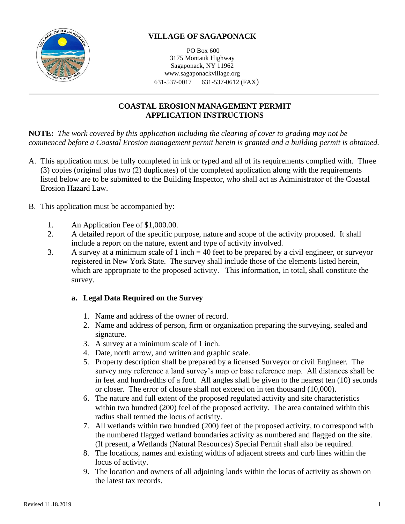

# **VILLAGE OF SAGAPONACK**

PO Box 600 3175 Montauk Highway Sagaponack, NY 11962 www.sagaponackvillage.org 631-537-0017 631-537-0612 (FAX)

## **COASTAL EROSION MANAGEMENT PERMIT APPLICATION INSTRUCTIONS**

**NOTE:** *The work covered by this application including the clearing of cover to grading may not be commenced before a Coastal Erosion management permit herein is granted and a building permit is obtained.*

- A. This application must be fully completed in ink or typed and all of its requirements complied with. Three (3) copies (original plus two (2) duplicates) of the completed application along with the requirements listed below are to be submitted to the Building Inspector, who shall act as Administrator of the Coastal Erosion Hazard Law.
- B. This application must be accompanied by:
	- 1. An Application Fee of \$1,000.00.
	- 2. A detailed report of the specific purpose, nature and scope of the activity proposed. It shall include a report on the nature, extent and type of activity involved.
	- 3. A survey at a minimum scale of 1 inch = 40 feet to be prepared by a civil engineer, or surveyor registered in New York State. The survey shall include those of the elements listed herein, which are appropriate to the proposed activity. This information, in total, shall constitute the survey.

### **a. Legal Data Required on the Survey**

- 1. Name and address of the owner of record.
- 2. Name and address of person, firm or organization preparing the surveying, sealed and signature.
- 3. A survey at a minimum scale of 1 inch.
- 4. Date, north arrow, and written and graphic scale.
- 5. Property description shall be prepared by a licensed Surveyor or civil Engineer. The survey may reference a land survey's map or base reference map. All distances shall be in feet and hundredths of a foot. All angles shall be given to the nearest ten (10) seconds or closer. The error of closure shall not exceed on in ten thousand (10,000).
- 6. The nature and full extent of the proposed regulated activity and site characteristics within two hundred (200) feel of the proposed activity. The area contained within this radius shall termed the locus of activity.
- 7. All wetlands within two hundred (200) feet of the proposed activity, to correspond with the numbered flagged wetland boundaries activity as numbered and flagged on the site. (If present, a Wetlands (Natural Resources) Special Permit shall also be required.
- 8. The locations, names and existing widths of adjacent streets and curb lines within the locus of activity.
- 9. The location and owners of all adjoining lands within the locus of activity as shown on the latest tax records.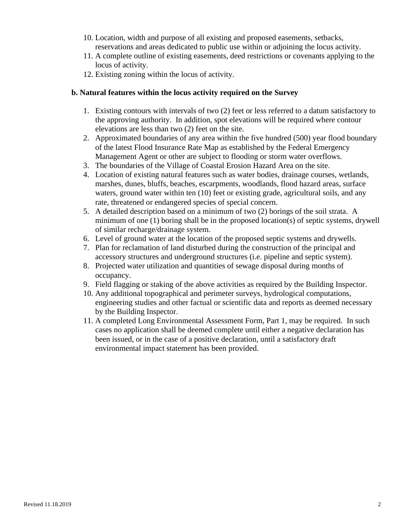- 10. Location, width and purpose of all existing and proposed easements, setbacks, reservations and areas dedicated to public use within or adjoining the locus activity.
- 11. A complete outline of existing easements, deed restrictions or covenants applying to the locus of activity.
- 12. Existing zoning within the locus of activity.

#### **b. Natural features within the locus activity required on the Survey**

- 1. Existing contours with intervals of two (2) feet or less referred to a datum satisfactory to the approving authority. In addition, spot elevations will be required where contour elevations are less than two (2) feet on the site.
- 2. Approximated boundaries of any area within the five hundred (500) year flood boundary of the latest Flood Insurance Rate Map as established by the Federal Emergency Management Agent or other are subject to flooding or storm water overflows.
- 3. The boundaries of the Village of Coastal Erosion Hazard Area on the site.
- 4. Location of existing natural features such as water bodies, drainage courses, wetlands, marshes, dunes, bluffs, beaches, escarpments, woodlands, flood hazard areas, surface waters, ground water within ten (10) feet or existing grade, agricultural soils, and any rate, threatened or endangered species of special concern.
- 5. A detailed description based on a minimum of two (2) borings of the soil strata. A minimum of one (1) boring shall be in the proposed location(s) of septic systems, drywell of similar recharge/drainage system.
- 6. Level of ground water at the location of the proposed septic systems and drywells.
- 7. Plan for reclamation of land disturbed during the construction of the principal and accessory structures and underground structures (i.e. pipeline and septic system).
- 8. Projected water utilization and quantities of sewage disposal during months of occupancy.
- 9. Field flagging or staking of the above activities as required by the Building Inspector.
- 10. Any additional topographical and perimeter surveys, hydrological computations, engineering studies and other factual or scientific data and reports as deemed necessary by the Building Inspector.
- 11. A completed Long Environmental Assessment Form, Part 1, may be required. In such cases no application shall be deemed complete until either a negative declaration has been issued, or in the case of a positive declaration, until a satisfactory draft environmental impact statement has been provided.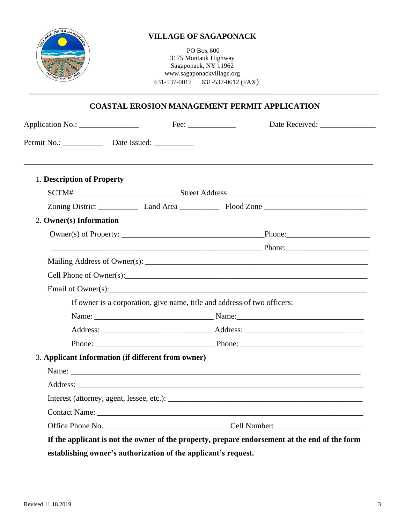

## **VILLAGE OF SAGAPONACK**

PO Box 600 3175 Montauk Highway Sagaponack, NY 11962 www.sagaponackvillage.org 631-537-0017 631-537-0612 (FAX)

## **COASTAL EROSION MANAGEMENT PERMIT APPLICATION**

| Application No.:                                                                                                                                                                                                              | $\text{Fee:}\_\_\_\_\_\_\_\_\_\$ | Date Received:    |
|-------------------------------------------------------------------------------------------------------------------------------------------------------------------------------------------------------------------------------|----------------------------------|-------------------|
|                                                                                                                                                                                                                               |                                  |                   |
| 1. Description of Property                                                                                                                                                                                                    |                                  |                   |
| SCTM#                                                                                                                                                                                                                         |                                  |                   |
| Zoning District Land Area Flood Zone                                                                                                                                                                                          |                                  |                   |
| 2. Owner(s) Information                                                                                                                                                                                                       |                                  |                   |
|                                                                                                                                                                                                                               |                                  |                   |
|                                                                                                                                                                                                                               |                                  | $P$ Phone: $\Box$ |
| Mailing Address of Owner(s): Letter and the state of the state of the state of the state of the state of the state of the state of the state of the state of the state of the state of the state of the state of the state of |                                  |                   |
|                                                                                                                                                                                                                               |                                  |                   |
|                                                                                                                                                                                                                               |                                  |                   |
| If owner is a corporation, give name, title and address of two officers:                                                                                                                                                      |                                  |                   |
|                                                                                                                                                                                                                               |                                  |                   |
|                                                                                                                                                                                                                               |                                  |                   |
|                                                                                                                                                                                                                               |                                  |                   |
| 3. Applicant Information (if different from owner)                                                                                                                                                                            |                                  |                   |
|                                                                                                                                                                                                                               |                                  |                   |
|                                                                                                                                                                                                                               |                                  |                   |
|                                                                                                                                                                                                                               |                                  |                   |
|                                                                                                                                                                                                                               |                                  |                   |
|                                                                                                                                                                                                                               |                                  |                   |

**establishing owner's authorization of the applicant's request.**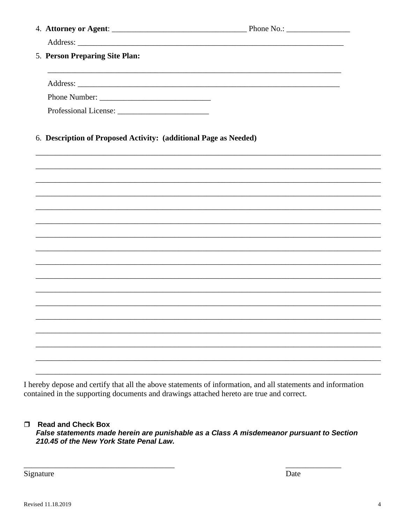| 5. Person Preparing Site Plan:                                   |                                                                                   |  |
|------------------------------------------------------------------|-----------------------------------------------------------------------------------|--|
|                                                                  |                                                                                   |  |
|                                                                  |                                                                                   |  |
|                                                                  |                                                                                   |  |
| 6. Description of Proposed Activity: (additional Page as Needed) |                                                                                   |  |
|                                                                  | ,我们也不能会在这里的时候,我们也不能会在这里,我们也不能会在这里,我们也不能会在这里,我们也不能会在这里,我们也不能会在这里,我们也不能会不能会不能会。""我们 |  |
|                                                                  |                                                                                   |  |
|                                                                  |                                                                                   |  |
|                                                                  |                                                                                   |  |
|                                                                  |                                                                                   |  |
|                                                                  |                                                                                   |  |
|                                                                  | ,我们也不能在这里的时候,我们也不能在这里的时候,我们也不能会在这里,我们也不能会在这里的时候,我们也不能会在这里的时候,我们也不能会在这里的时候,我们也不能会  |  |
|                                                                  |                                                                                   |  |
|                                                                  |                                                                                   |  |
|                                                                  |                                                                                   |  |
|                                                                  |                                                                                   |  |
|                                                                  |                                                                                   |  |
|                                                                  |                                                                                   |  |
|                                                                  |                                                                                   |  |
|                                                                  |                                                                                   |  |

I hereby depose and certify that all the above statements of information, and all statements and information contained in the supporting documents and drawings attached hereto are true and correct.

#### Read and Check Box

False statements made herein are punishable as a Class A misdemeanor pursuant to Section 210.45 of the New York State Penal Law.